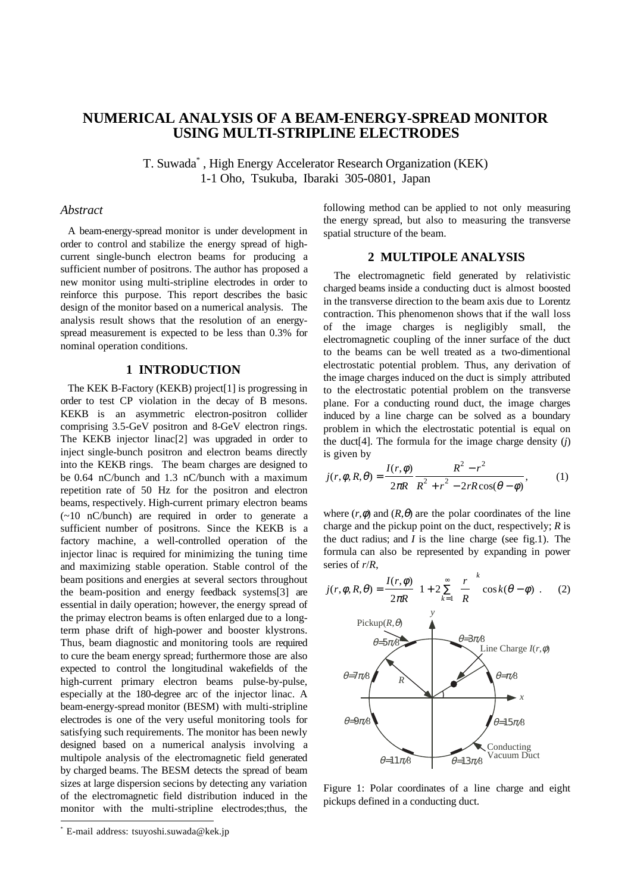# **NUMERICAL ANALYSIS OF A BEAM-ENERGY-SPREAD MONITOR USING MULTI-STRIPLINE ELECTRODES**

T. Suwada\* , High Energy Accelerator Research Organization (KEK) 1-1 Oho, Tsukuba, Ibaraki 305-0801, Japan

#### *Abstract*

A beam-energy-spread monitor is under development in order to control and stabilize the energy spread of highcurrent single-bunch electron beams for producing a sufficient number of positrons. The author has proposed a new monitor using multi-stripline electrodes in order to reinforce this purpose. This report describes the basic design of the monitor based on a numerical analysis. The analysis result shows that the resolution of an energyspread measurement is expected to be less than 0.3% for nominal operation conditions.

# **1 INTRODUCTION**

The KEK B-Factory (KEKB) project[1] is progressing in order to test CP violation in the decay of B mesons. KEKB is an asymmetric electron-positron collider comprising 3.5-GeV positron and 8-GeV electron rings. The KEKB injector linac[2] was upgraded in order to inject single-bunch positron and electron beams directly into the KEKB rings. The beam charges are designed to be 0.64 nC/bunch and 1.3 nC/bunch with a maximum repetition rate of 50 Hz for the positron and electron beams, respectively. High-current primary electron beams (~10 nC/bunch) are required in order to generate a sufficient number of positrons. Since the KEKB is a factory machine, a well-controlled operation of the injector linac is required for minimizing the tuning time and maximizing stable operation. Stable control of the beam positions and energies at several sectors throughout the beam-position and energy feedback systems[3] are essential in daily operation; however, the energy spread of the primay electron beams is often enlarged due to a longterm phase drift of high-power and booster klystrons. Thus, beam diagnostic and monitoring tools are required to cure the beam energy spread; furthermore those are also expected to control the longitudinal wakefields of the high-current primary electron beams pulse-by-pulse, especially at the 180-degree arc of the injector linac. A beam-energy-spread monitor (BESM) with multi-stripline electrodes is one of the very useful monitoring tools for satisfying such requirements. The monitor has been newly designed based on a numerical analysis involving a multipole analysis of the electromagnetic field generated by charged beams. The BESM detects the spread of beam sizes at large dispersion secions by detecting any variation of the electromagnetic field distribution induced in the monitor with the multi-stripline electrodes;thus, the following method can be applied to not only measuring the energy spread, but also to measuring the transverse spatial structure of the beam.

## **2 MULTIPOLE ANALYSIS**

The electromagnetic field generated by relativistic charged beams inside a conducting duct is almost boosted in the transverse direction to the beam axis due to Lorentz contraction. This phenomenon shows that if the wall loss of the image charges is negligibly small, the electromagnetic coupling of the inner surface of the duct to the beams can be well treated as a two-dimentional electrostatic potential problem. Thus, any derivation of the image charges induced on the duct is simply attributed to the electrostatic potential problem on the transverse plane. For a conducting round duct, the image charges induced by a line charge can be solved as a boundary problem in which the electrostatic potential is equal on the duct[4]. The formula for the image charge density (*j*) is given by

$$
j(r, \phi, R, \theta) = \frac{I(r, \phi)}{2\pi R} \frac{R^2 - r^2}{R^2 + r^2 - 2rR\cos(\theta - \phi)},
$$
 (1)

where  $(r, \phi)$  and  $(R, \theta)$  are the polar coordinates of the line charge and the pickup point on the duct, respectively; *R* is the duct radius; and  $I$  is the line charge (see fig.1). The formula can also be represented by expanding in power series of *r*/*R*,

$$
j(r, \phi, R, \theta) = \frac{I(r, \phi)}{2\pi R} \left[ 1 + 2 \sum_{k=1}^{\infty} \left( \frac{r}{R} \right)^{k} \cos k(\theta - \phi) \right].
$$
 (2)  
Pickup(R, \theta)  
 $\theta = 5\pi 8$   
Line Charge  $I(r, \phi)$   
 $\theta = 7\pi 8$   
 $\theta = 9\pi 8$   
 $\theta = 11\pi 8$ Conducting  
Vacuum Dutch

Figure 1: Polar coordinates of a line charge and eight pickups defined in a conducting duct.

 \* E-mail address: tsuyoshi.suwada@kek.jp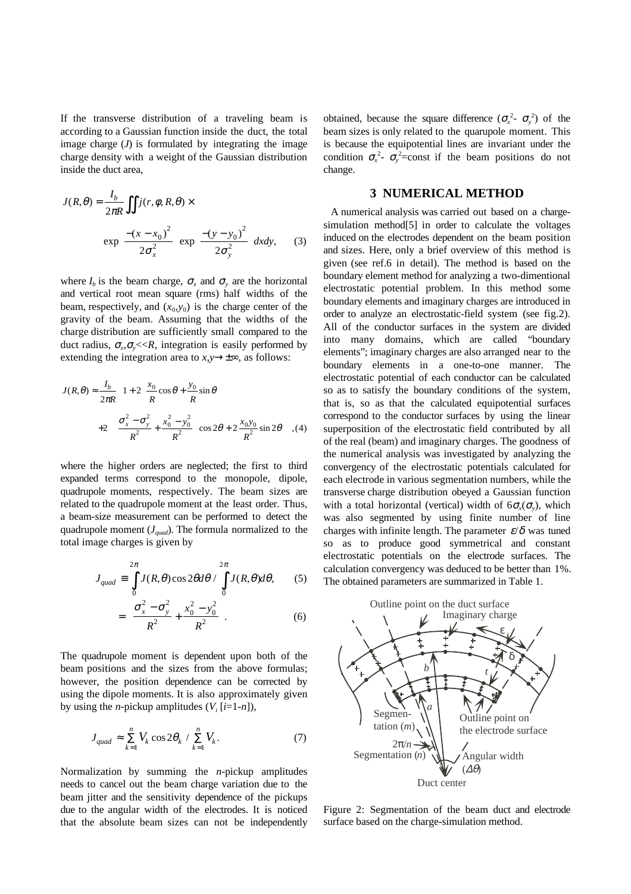If the transverse distribution of a traveling beam is according to a Gaussian function inside the duct, the total image charge  $(J)$  is formulated by integrating the image charge density with a weight of the Gaussian distribution inside the duct area,

$$
J(R, \theta) = \frac{I_b}{2\pi R} \iint j(r, \phi, R, \theta) \times
$$

$$
\exp\left[\frac{-(x - x_0)^2}{2\sigma_x^2}\right] \exp\left[\frac{-(y - y_0)^2}{2\sigma_y^2}\right] dxdy, \quad (3)
$$

where  $I_b$  is the beam charge,  $\sigma_x$  and  $\sigma_y$  are the horizontal and vertical root mean square (rms) half widths of the beam, respectively, and  $(x_0, y_0)$  is the charge center of the gravity of the beam. Assuming that the widths of the charge distribution are sufficiently small compared to the duct radius,  $\sigma_{\gamma}$ ,  $\sigma_{\gamma}$  <<*R*, integration is easily performed by extending the integration area to  $x, y \rightarrow \pm \infty$ , as follows:

$$
J(R,\theta) \approx \frac{I_b}{2\pi R} \left\{ 1 + 2 \left[ \frac{x_0}{R} \cos \theta + \frac{y_0}{R} \sin \theta \right] + 2 \left[ \left( \frac{\sigma_x^2 - \sigma_y^2}{R^2} + \frac{x_0^2 - y_0^2}{R^2} \right) \cos 2\theta + 2 \frac{x_0 y_0}{R^2} \sin 2\theta \right] \right\}, (4)
$$

where the higher orders are neglected; the first to third expanded terms correspond to the monopole, dipole, quadrupole moments, respectively. The beam sizes are related to the quadrupole moment at the least order. Thus, a beam-size measurement can be performed to detect the quadrupole moment (*Jquad*). The formula normalized to the total image charges is given by

$$
J_{quad} \equiv \int_{0}^{2\pi} J(R,\theta) \cos 2\theta d\theta / \int_{0}^{2\pi} J(R,\theta) d\theta, \qquad (5)
$$

$$
= \left(\frac{\sigma_x^2 - \sigma_y^2}{R^2} + \frac{x_0^2 - y_0^2}{R^2}\right).
$$
 (6)

The quadrupole moment is dependent upon both of the beam positions and the sizes from the above formulas; however, the position dependence can be corrected by using the dipole moments. It is also approximately given by using the *n*-pickup amplitudes  $(V_i[i=1-n])$ ,

$$
J_{quad} \approx \sum_{k=1}^{n} V_k \cos 2\theta_k / \sum_{k=1}^{n} V_k.
$$
 (7)

Normalization by summing the *n*-pickup amplitudes needs to cancel out the beam charge variation due to the beam jitter and the sensitivity dependence of the pickups due to the angular width of the electrodes. It is noticed that the absolute beam sizes can not be independently

obtained, because the square difference  $(\sigma_x^2 - \sigma_y^2)$  of the beam sizes is only related to the quarupole moment. This is because the equipotential lines are invariant under the condition  $\sigma_x^2$ -  $\sigma_y^2$ =const if the beam positions do not change.

### **3 NUMERICAL METHOD**

A numerical analysis was carried out based on a chargesimulation method[5] in order to calculate the voltages induced on the electrodes dependent on the beam position and sizes. Here, only a brief overview of this method is given (see ref.6 in detail). The method is based on the boundary element method for analyzing a two-dimentional electrostatic potential problem. In this method some boundary elements and imaginary charges are introduced in order to analyze an electrostatic-field system (see fig.2). All of the conductor surfaces in the system are divided into many domains, which are called "boundary elements"; imaginary charges are also arranged near to the boundary elements in a one-to-one manner. The electrostatic potential of each conductor can be calculated so as to satisfy the boundary conditions of the system, that is, so as that the calculated equipotential surfaces correspond to the conductor surfaces by using the linear superposition of the electrostatic field contributed by all of the real (beam) and imaginary charges. The goodness of the numerical analysis was investigated by analyzing the convergency of the electrostatic potentials calculated for each electrode in various segmentation numbers, while the transverse charge distribution obeyed a Gaussian function with a total horizontal (vertical) width of  $6\sigma_x(\sigma_y)$ , which was also segmented by using finite number of line charges with infinite length. The parameter  $\varepsilon/\delta$  was tuned so as to produce good symmetrical and constant electrostatic potentials on the electrode surfaces. The calculation convergency was deduced to be better than 1%. The obtained parameters are summarized in Table 1.



Figure 2: Segmentation of the beam duct and electrode surface based on the charge-simulation method.